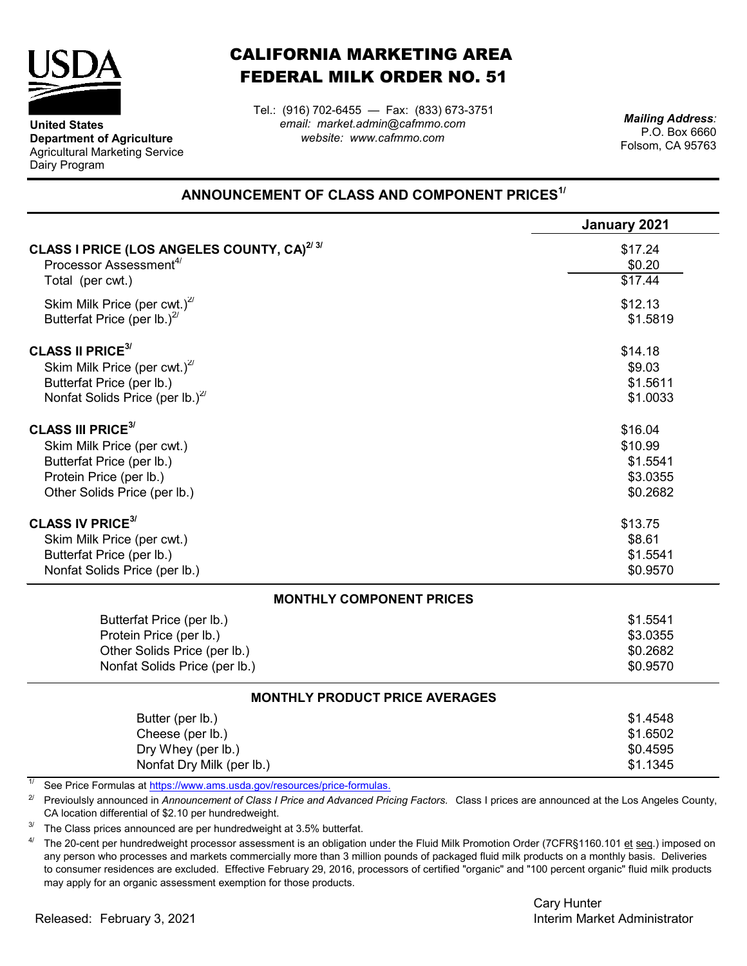

**United States**

Dairy Program

**Department of Agriculture** Agricultural Marketing Service

## CALIFORNIA MARKETING AREA FEDERAL MILK ORDER NO. 51

*email: market.admin@cafmmo.com website: www.cafmmo.com* Tel.: (916) 702-6455 — Fax: (833) 673-3751

*Mailing Address:* P.O. Box 6660 Folsom, CA 95763

## **ANNOUNCEMENT OF CLASS AND COMPONENT PRICES1/**

|                                                                                            | January 2021        |  |  |
|--------------------------------------------------------------------------------------------|---------------------|--|--|
| CLASS I PRICE (LOS ANGELES COUNTY, CA) <sup>2/3/</sup>                                     | \$17.24             |  |  |
| Processor Assessment <sup>4/</sup>                                                         | \$0.20              |  |  |
| Total (per cwt.)                                                                           | $\overline{$17.44}$ |  |  |
| Skim Milk Price (per cwt.) $^{27}$                                                         | \$12.13             |  |  |
| Butterfat Price (per lb.) $^{2}$                                                           | \$1.5819            |  |  |
| <b>CLASS II PRICE<sup>3/</sup></b>                                                         | \$14.18             |  |  |
| Skim Milk Price (per cwt.) <sup>2/</sup>                                                   | \$9.03              |  |  |
| Butterfat Price (per lb.)                                                                  | \$1.5611            |  |  |
| Nonfat Solids Price (per lb.) $^{27}$                                                      | \$1.0033            |  |  |
| <b>CLASS III PRICE<sup>3/</sup></b>                                                        | \$16.04             |  |  |
| Skim Milk Price (per cwt.)                                                                 | \$10.99             |  |  |
| Butterfat Price (per lb.)                                                                  | \$1.5541            |  |  |
| Protein Price (per lb.)                                                                    | \$3.0355            |  |  |
| Other Solids Price (per lb.)                                                               | \$0.2682            |  |  |
| <b>CLASS IV PRICE<sup>3/</sup></b>                                                         | \$13.75             |  |  |
| Skim Milk Price (per cwt.)                                                                 | \$8.61              |  |  |
| Butterfat Price (per lb.)                                                                  | \$1.5541            |  |  |
| Nonfat Solids Price (per lb.)                                                              | \$0.9570            |  |  |
| <b>MONTHLY COMPONENT PRICES</b>                                                            |                     |  |  |
| Butterfat Price (per lb.)                                                                  | \$1.5541            |  |  |
| Protein Price (per lb.)                                                                    | \$3.0355            |  |  |
| Other Solids Price (per lb.)                                                               | \$0.2682            |  |  |
| Nonfat Solids Price (per lb.)                                                              | \$0.9570            |  |  |
| <b>MONTHLY PRODUCT PRICE AVERAGES</b>                                                      |                     |  |  |
| Butter (per lb.)                                                                           | \$1.4548            |  |  |
| Cheese (per lb.)                                                                           | \$1.6502            |  |  |
| Dry Whey (per lb.)                                                                         | \$0.4595            |  |  |
| Nonfat Dry Milk (per lb.)                                                                  | \$1.1345            |  |  |
| $\overline{11}$<br>See Price Formulas at https://www.ams.usda.gov/resources/price-formulas |                     |  |  |

[See Price Formulas at](https://www.ams.usda.gov/resources/price-formulas) <u>https://www.ams.usda.gov/resources/price-formulas.</u>

2/ Previoulsly announced in *Announcement of Class I Price and Advanced Pricing Factors.* Class I prices are announced at the Los Angeles County, CA location differential of \$2.10 per hundredweight.

3/ The Class prices announced are per hundredweight at 3.5% butterfat.

4/ The 20-cent per hundredweight processor assessment is an obligation under the Fluid Milk Promotion Order (7CFR§1160.101 et seq.) imposed on any person who processes and markets commercially more than 3 million pounds of packaged fluid milk products on a monthly basis. Deliveries to consumer residences are excluded. Effective February 29, 2016, processors of certified "organic" and "100 percent organic" fluid milk products may apply for an organic assessment exemption for those products.